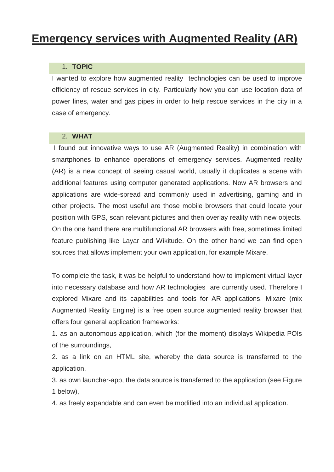# **Emergency services with Augmented Reality (AR)**

# 1. **TOPIC**

I wanted to explore how augmented reality technologies can be used to improve efficiency of rescue services in city. Particularly how you can use location data of power lines, water and gas pipes in order to help rescue services in the city in a case of emergency.

#### 2. **WHAT**

I found out innovative ways to use AR (Augmented Reality) in combination with smartphones to enhance operations of emergency services. Augmented reality (AR) is a new concept of seeing casual world, usually it duplicates a scene with additional features using computer generated applications. Now AR browsers and applications are wide-spread and commonly used in advertising, gaming and in other projects. The most useful are those mobile browsers that could locate your position with GPS, scan relevant pictures and then overlay reality with new objects. On the one hand there are multifunctional AR browsers with free, sometimes limited feature publishing like Layar and Wikitude. On the other hand we can find open sources that allows implement your own application, for example Mixare.

To complete the task, it was be helpful to understand how to implement virtual layer into necessary database and how AR technologies are currently used. Therefore I explored Mixare and its capabilities and tools for AR applications. Mixare (mix Augmented Reality Engine) is a free open source augmented reality browser that offers four general application frameworks:

1. as an autonomous application, which (for the moment) displays Wikipedia POIs of the surroundings,

2. as a link on an HTML site, whereby the data source is transferred to the application,

3. as own launcher-app, the data source is transferred to the application (see Figure 1 below),

4. as freely expandable and can even be modified into an individual application.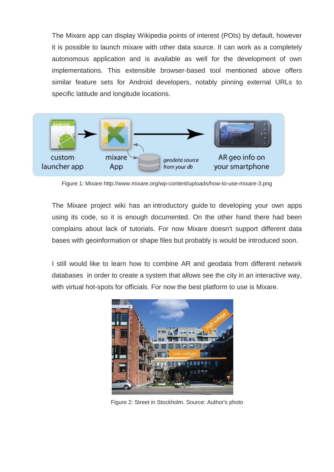The Mixare app can display Wikipedia points of interest (POIs) by default, however it is possible to launch mixare with other data source. It can work as a completely autonomous application and is available as well for the development of own implementations. This extensible browser-based tool mentioned above offers similar feature sets for Android developers, notably pinning external URLs to specific latitude and longitude locations.



Figure 1: Mixare http://www.mixare.org/wp-content/uploads/how-to-use-mixare-3.png

The Mixare project wiki has an introductory guide to developing your own apps using its code, so it is enough documented. On the other hand there had been complains about lack of tutorials. For now Mixare doesn't support different data bases with geoinformation or shape files but probably is would be introduced soon.

I still would like to learn how to combine AR and geodata from different network databases in order to create a system that allows see the city in an interactive way, with virtual hot-spots for officials. For now the best platform to use is Mixare.



Figure 2: Street in Stockholm. Source: Author's photo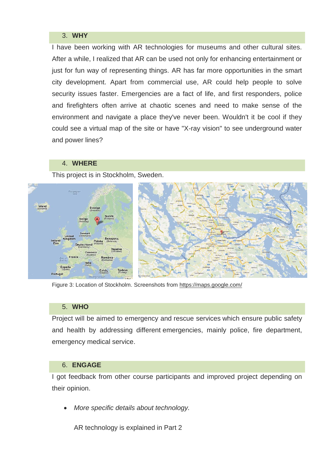# 3. **WHY**

I have been working with AR technologies for museums and other cultural sites. After a while, I realized that AR can be used not only for enhancing entertainment or just for fun way of representing things. AR has far more opportunities in the smart city development. Apart from commercial use, AR could help people to solve security issues faster. Emergencies are a fact of life, and first responders, police and firefighters often arrive at chaotic scenes and need to make sense of the environment and navigate a place they've never been. Wouldn't it be cool if they could see a virtual map of the site or have "X-ray vision" to see underground water and power lines?

# 4. **WHERE**

This project is in Stockholm, Sweden.



Figure 3: Location of Stockholm. Screenshots from<https://maps.google.com/>

#### 5. **WHO**

Project will be aimed to emergency and rescue services which ensure public safety and health by addressing different emergencies, mainly police, fire department, emergency medical service.

# 6. **ENGAGE**

I got feedback from other course participants and improved project depending on their opinion.

*More specific details about technology.*

AR technology is explained in Part 2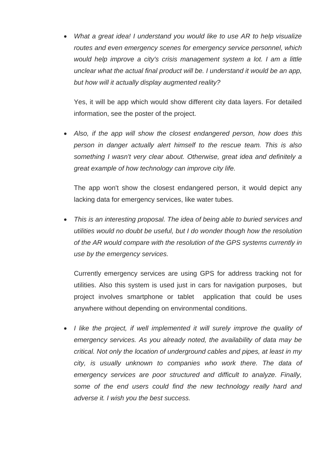*What a great idea! I understand you would like to use AR to help visualize routes and even emergency scenes for emergency service personnel, which would help improve a city's crisis management system a lot. I am a little unclear what the actual final product will be. I understand it would be an app, but how will it actually display augmented reality?* 

Yes, it will be app which would show different city data layers. For detailed information, see the poster of the project.

 *Also, if the app will show the closest endangered person, how does this person in danger actually alert himself to the rescue team. This is also something I wasn't very clear about. Otherwise, great idea and definitely a great example of how technology can improve city life.*

The app won't show the closest endangered person, it would depict any lacking data for emergency services, like water tubes.

 *This is an interesting proposal. The idea of being able to buried services and utilities would no doubt be useful, but I do wonder though how the resolution of the AR would compare with the resolution of the GPS systems currently in use by the emergency services.*

Currently emergency services are using GPS for address tracking not for utilities. Also this system is used just in cars for navigation purposes, but project involves smartphone or tablet application that could be uses anywhere without depending on environmental conditions.

*I like the project, if well implemented it will surely improve the quality of emergency services. As you already noted, the availability of data may be critical. Not only the location of underground cables and pipes, at least in my city, is usually unknown to companies who work there. The data of emergency services are poor structured and difficult to analyze. Finally, some of the end users could find the new technology really hard and adverse it. I wish you the best success.*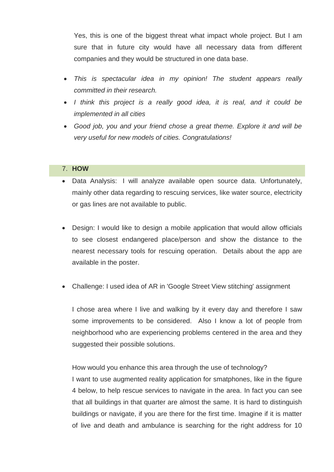Yes, this is one of the biggest threat what impact whole project. But I am sure that in future city would have all necessary data from different companies and they would be structured in one data base.

- *This is spectacular idea in my opinion! The student appears really committed in their research.*
- *I think this project is a really good idea, it is real, and it could be implemented in all cities*
- *Good job, you and your friend chose a great theme. Explore it and will be very useful for new models of cities. Congratulations!*

# 7. **HOW**

- Data Analysis: I will analyze available open source data. Unfortunately, mainly other data regarding to rescuing services, like water source, electricity or gas lines are not available to public.
- Design: I would like to design a mobile application that would allow officials to see closest endangered place/person and show the distance to the nearest necessary tools for rescuing operation. Details about the app are available in the poster.
- Challenge: I used idea of AR in 'Google Street View stitching' assignment

I chose area where I live and walking by it every day and therefore I saw some improvements to be considered. Also I know a lot of people from neighborhood who are experiencing problems centered in the area and they suggested their possible solutions.

How would you enhance this area through the use of technology?

I want to use augmented reality application for smatphones, like in the figure 4 below, to help rescue services to navigate in the area. In fact you can see that all buildings in that quarter are almost the same. It is hard to distinguish buildings or navigate, if you are there for the first time. Imagine if it is matter of live and death and ambulance is searching for the right address for 10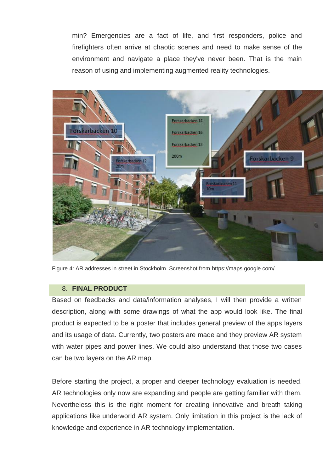min? Emergencies are a fact of life, and first responders, police and firefighters often arrive at chaotic scenes and need to make sense of the environment and navigate a place they've never been. That is the main reason of using and implementing augmented reality technologies.



Figure 4: AR addresses in street in Stockholm. Screenshot from<https://maps.google.com/>

# 8. **FINAL PRODUCT**

Based on feedbacks and data/information analyses, I will then provide a written description, along with some drawings of what the app would look like. The final product is expected to be a poster that includes general preview of the apps layers and its usage of data. Currently, two posters are made and they preview AR system with water pipes and power lines. We could also understand that those two cases can be two layers on the AR map.

Before starting the project, a proper and deeper technology evaluation is needed. AR technologies only now are expanding and people are getting familiar with them. Nevertheless this is the right moment for creating innovative and breath taking applications like underworld AR system. Only limitation in this project is the lack of knowledge and experience in AR technology implementation.